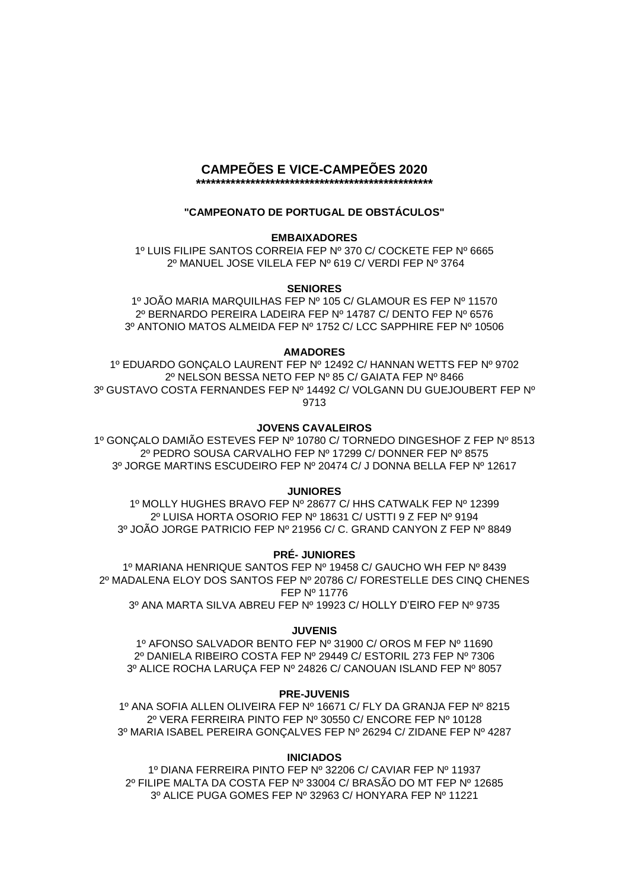#### **CAMPEÕES E VICE-CAMPEÕES 2020 \*\*\*\*\*\*\*\*\*\*\*\*\*\*\*\*\*\*\*\*\*\*\*\*\*\*\*\*\*\*\*\*\*\*\*\*\*\*\*\*\*\*\*\*\*\*\*\***

# **"CAMPEONATO DE PORTUGAL DE OBSTÁCULOS"**

## **EMBAIXADORES**

1º LUIS FILIPE SANTOS CORREIA FEP Nº 370 C/ COCKETE FEP Nº 6665 2º MANUEL JOSE VILELA FEP Nº 619 C/ VERDI FEP Nº 3764

## **SENIORES**

1º JOÃO MARIA MARQUILHAS FEP Nº 105 C/ GLAMOUR ES FEP Nº 11570 2º BERNARDO PEREIRA LADEIRA FEP Nº 14787 C/ DENTO FEP Nº 6576 3º ANTONIO MATOS ALMEIDA FEP Nº 1752 C/ LCC SAPPHIRE FEP Nº 10506

### **AMADORES**

1º EDUARDO GONÇALO LAURENT FEP Nº 12492 C/ HANNAN WETTS FEP Nº 9702 2º NELSON BESSA NETO FEP Nº 85 C/ GAIATA FEP Nº 8466 3º GUSTAVO COSTA FERNANDES FEP Nº 14492 C/ VOLGANN DU GUEJOUBERT FEP Nº 9713

## **JOVENS CAVALEIROS**

1º GONÇALO DAMIÃO ESTEVES FEP Nº 10780 C/ TORNEDO DINGESHOF Z FEP Nº 8513 2º PEDRO SOUSA CARVALHO FEP Nº 17299 C/ DONNER FEP Nº 8575 3º JORGE MARTINS ESCUDEIRO FEP Nº 20474 C/ J DONNA BELLA FEP Nº 12617

## **JUNIORES**

1º MOLLY HUGHES BRAVO FEP Nº 28677 C/ HHS CATWALK FEP Nº 12399 2º LUISA HORTA OSORIO FEP Nº 18631 C/ USTTI 9 Z FEP Nº 9194 3º JOÃO JORGE PATRICIO FEP Nº 21956 C/ C. GRAND CANYON Z FEP Nº 8849

## **PRÉ- JUNIORES**

1º MARIANA HENRIQUE SANTOS FEP Nº 19458 C/ GAUCHO WH FEP Nº 8439 2º MADALENA ELOY DOS SANTOS FEP Nº 20786 C/ FORESTELLE DES CINQ CHENES FEP Nº 11776 3º ANA MARTA SILVA ABREU FEP Nº 19923 C/ HOLLY D'EIRO FEP Nº 9735

## **JUVENIS**

1º AFONSO SALVADOR BENTO FEP Nº 31900 C/ OROS M FEP Nº 11690 2º DANIELA RIBEIRO COSTA FEP Nº 29449 C/ ESTORIL 273 FEP Nº 7306 3º ALICE ROCHA LARUÇA FEP Nº 24826 C/ CANOUAN ISLAND FEP Nº 8057

## **PRE-JUVENIS**

1º ANA SOFIA ALLEN OLIVEIRA FEP Nº 16671 C/ FLY DA GRANJA FEP Nº 8215 2º VERA FERREIRA PINTO FEP Nº 30550 C/ ENCORE FEP Nº 10128 3º MARIA ISABEL PEREIRA GONÇALVES FEP Nº 26294 C/ ZIDANE FEP Nº 4287

## **INICIADOS**

1º DIANA FERREIRA PINTO FEP Nº 32206 C/ CAVIAR FEP Nº 11937 2º FILIPE MALTA DA COSTA FEP Nº 33004 C/ BRASÃO DO MT FEP Nº 12685 3º ALICE PUGA GOMES FEP Nº 32963 C/ HONYARA FEP Nº 11221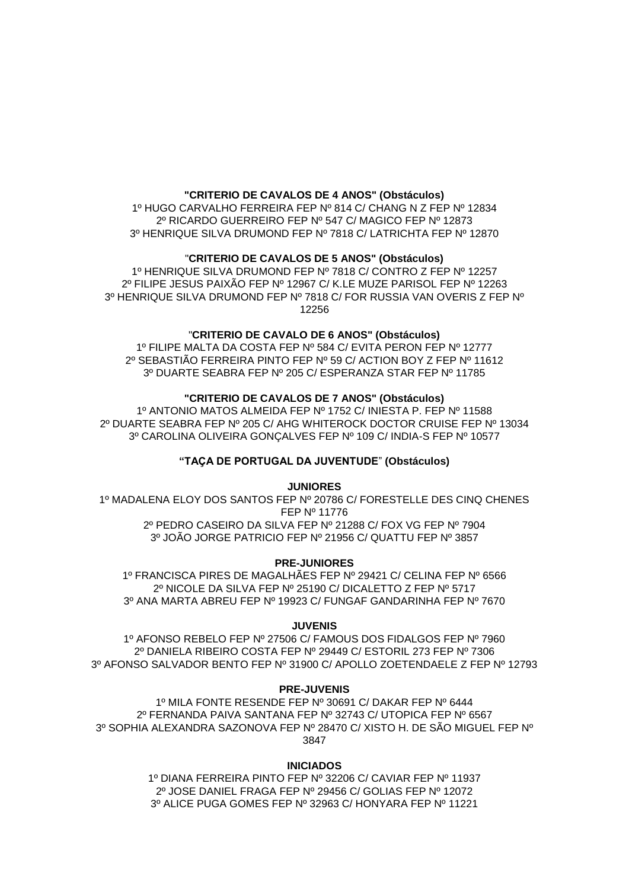### **"CRITERIO DE CAVALOS DE 4 ANOS" (Obstáculos)**

1º HUGO CARVALHO FERREIRA FEP Nº 814 C/ CHANG N Z FEP Nº 12834 2º RICARDO GUERREIRO FEP Nº 547 C/ MAGICO FEP Nº 12873 3º HENRIQUE SILVA DRUMOND FEP Nº 7818 C/ LATRICHTA FEP Nº 12870

### "**CRITERIO DE CAVALOS DE 5 ANOS" (Obstáculos)**

1º HENRIQUE SILVA DRUMOND FEP Nº 7818 C/ CONTRO Z FEP Nº 12257 2º FILIPE JESUS PAIXÃO FEP Nº 12967 C/ K.LE MUZE PARISOL FEP Nº 12263 3º HENRIQUE SILVA DRUMOND FEP Nº 7818 C/ FOR RUSSIA VAN OVERIS Z FEP Nº 12256

#### "**CRITERIO DE CAVALO DE 6 ANOS" (Obstáculos)**

1º FILIPE MALTA DA COSTA FEP Nº 584 C/ EVITA PERON FEP Nº 12777 2º SEBASTIÃO FERREIRA PINTO FEP Nº 59 C/ ACTION BOY Z FEP Nº 11612 3º DUARTE SEABRA FEP Nº 205 C/ ESPERANZA STAR FEP Nº 11785

## **"CRITERIO DE CAVALOS DE 7 ANOS" (Obstáculos)**

1º ANTONIO MATOS ALMEIDA FEP Nº 1752 C/ INIESTA P. FEP Nº 11588 2º DUARTE SEABRA FEP Nº 205 C/ AHG WHITEROCK DOCTOR CRUISE FEP Nº 13034 3º CAROLINA OLIVEIRA GONÇALVES FEP Nº 109 C/ INDIA-S FEP Nº 10577

#### **"TAÇA DE PORTUGAL DA JUVENTUDE**" **(Obstáculos)**

#### **JUNIORES**

1º MADALENA ELOY DOS SANTOS FEP Nº 20786 C/ FORESTELLE DES CINQ CHENES FEP Nº 11776

2º PEDRO CASEIRO DA SILVA FEP Nº 21288 C/ FOX VG FEP Nº 7904 3º JOÃO JORGE PATRICIO FEP Nº 21956 C/ QUATTU FEP Nº 3857

#### **PRE-JUNIORES**

1º FRANCISCA PIRES DE MAGALHÃES FEP Nº 29421 C/ CELINA FEP Nº 6566 2º NICOLE DA SILVA FEP Nº 25190 C/ DICALETTO Z FEP Nº 5717 3º ANA MARTA ABREU FEP Nº 19923 C/ FUNGAF GANDARINHA FEP Nº 7670

#### **JUVENIS**

1º AFONSO REBELO FEP Nº 27506 C/ FAMOUS DOS FIDALGOS FEP Nº 7960 2º DANIELA RIBEIRO COSTA FEP Nº 29449 C/ ESTORIL 273 FEP Nº 7306 3º AFONSO SALVADOR BENTO FEP Nº 31900 C/ APOLLO ZOETENDAELE Z FEP Nº 12793

#### **PRE-JUVENIS**

1º MILA FONTE RESENDE FEP Nº 30691 C/ DAKAR FEP Nº 6444 2º FERNANDA PAIVA SANTANA FEP Nº 32743 C/ UTOPICA FEP Nº 6567 3º SOPHIA ALEXANDRA SAZONOVA FEP Nº 28470 C/ XISTO H. DE SÃO MIGUEL FEP Nº 3847

#### **INICIADOS**

1º DIANA FERREIRA PINTO FEP Nº 32206 C/ CAVIAR FEP Nº 11937 2º JOSE DANIEL FRAGA FEP Nº 29456 C/ GOLIAS FEP Nº 12072 3º ALICE PUGA GOMES FEP Nº 32963 C/ HONYARA FEP Nº 11221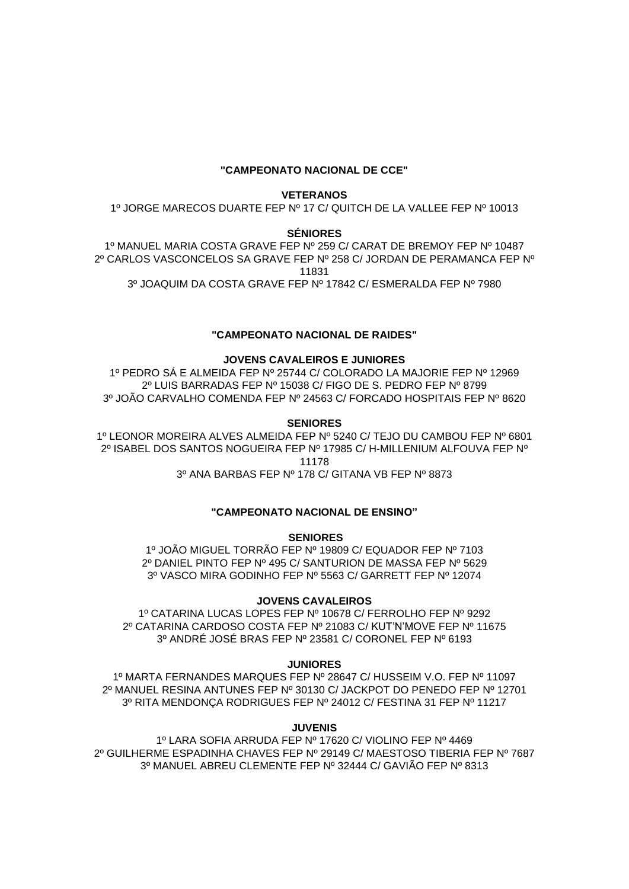### **"CAMPEONATO NACIONAL DE CCE"**

#### **VETERANOS**

1º JORGE MARECOS DUARTE FEP Nº 17 C/ QUITCH DE LA VALLEE FEP Nº 10013

#### **SÉNIORES**

1º MANUEL MARIA COSTA GRAVE FEP Nº 259 C/ CARAT DE BREMOY FEP Nº 10487 2º CARLOS VASCONCELOS SA GRAVE FEP Nº 258 C/ JORDAN DE PERAMANCA FEP Nº 11831 3º JOAQUIM DA COSTA GRAVE FEP Nº 17842 C/ ESMERALDA FEP Nº 7980

### **"CAMPEONATO NACIONAL DE RAIDES"**

## **JOVENS CAVALEIROS E JUNIORES**

1º PEDRO SÁ E ALMEIDA FEP Nº 25744 C/ COLORADO LA MAJORIE FEP Nº 12969 2º LUIS BARRADAS FEP Nº 15038 C/ FIGO DE S. PEDRO FEP Nº 8799 3º JOÃO CARVALHO COMENDA FEP Nº 24563 C/ FORCADO HOSPITAIS FEP Nº 8620

#### **SENIORES**

1º LEONOR MOREIRA ALVES ALMEIDA FEP Nº 5240 C/ TEJO DU CAMBOU FEP Nº 6801 2º ISABEL DOS SANTOS NOGUEIRA FEP Nº 17985 C/ H-MILLENIUM ALFOUVA FEP Nº 11178 3º ANA BARBAS FEP Nº 178 C/ GITANA VB FEP Nº 8873

## **"CAMPEONATO NACIONAL DE ENSINO"**

#### **SENIORES**

1º JOÃO MIGUEL TORRÃO FEP Nº 19809 C/ EQUADOR FEP Nº 7103 2º DANIEL PINTO FEP Nº 495 C/ SANTURION DE MASSA FEP Nº 5629 3º VASCO MIRA GODINHO FEP Nº 5563 C/ GARRETT FEP Nº 12074

#### **JOVENS CAVALEIROS**

1º CATARINA LUCAS LOPES FEP Nº 10678 C/ FERROLHO FEP Nº 9292 2º CATARINA CARDOSO COSTA FEP Nº 21083 C/ KUT'N'MOVE FEP Nº 11675 3º ANDRÉ JOSÉ BRAS FEP Nº 23581 C/ CORONEL FEP Nº 6193

#### **JUNIORES**

1º MARTA FERNANDES MARQUES FEP Nº 28647 C/ HUSSEIM V.O. FEP Nº 11097 2º MANUEL RESINA ANTUNES FEP Nº 30130 C/ JACKPOT DO PENEDO FEP Nº 12701 3º RITA MENDONÇA RODRIGUES FEP Nº 24012 C/ FESTINA 31 FEP Nº 11217

#### **JUVENIS**

1º LARA SOFIA ARRUDA FEP Nº 17620 C/ VIOLINO FEP Nº 4469 2º GUILHERME ESPADINHA CHAVES FEP Nº 29149 C/ MAESTOSO TIBERIA FEP Nº 7687 3º MANUEL ABREU CLEMENTE FEP Nº 32444 C/ GAVIÃO FEP Nº 8313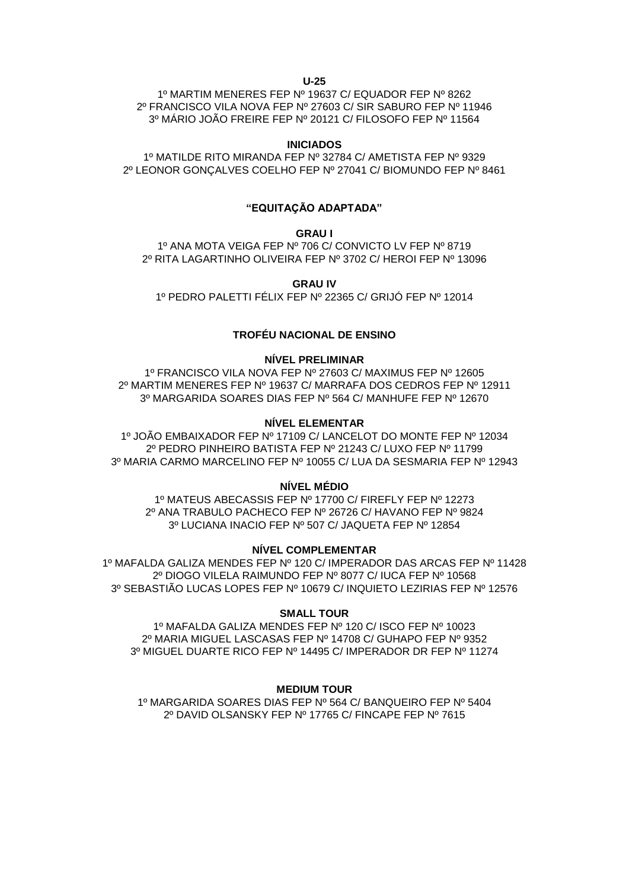**U-25**

1º MARTIM MENERES FEP Nº 19637 C/ EQUADOR FEP Nº 8262 2º FRANCISCO VILA NOVA FEP Nº 27603 C/ SIR SABURO FEP Nº 11946 3º MÁRIO JOÃO FREIRE FEP Nº 20121 C/ FILOSOFO FEP Nº 11564

#### **INICIADOS**

1º MATILDE RITO MIRANDA FEP Nº 32784 C/ AMETISTA FEP Nº 9329 2º LEONOR GONÇALVES COELHO FEP Nº 27041 C/ BIOMUNDO FEP Nº 8461

### **"EQUITAÇÃO ADAPTADA"**

#### **GRAU I**

1º ANA MOTA VEIGA FEP Nº 706 C/ CONVICTO LV FEP Nº 8719 2º RITA LAGARTINHO OLIVEIRA FEP Nº 3702 C/ HEROI FEP Nº 13096

**GRAU IV**

1º PEDRO PALETTI FÉLIX FEP Nº 22365 C/ GRIJÓ FEP Nº 12014

### **TROFÉU NACIONAL DE ENSINO**

#### **NÍVEL PRELIMINAR**

1º FRANCISCO VILA NOVA FEP Nº 27603 C/ MAXIMUS FEP Nº 12605 2º MARTIM MENERES FEP Nº 19637 C/ MARRAFA DOS CEDROS FEP Nº 12911 3º MARGARIDA SOARES DIAS FEP Nº 564 C/ MANHUFE FEP Nº 12670

### **NÍVEL ELEMENTAR**

1º JOÃO EMBAIXADOR FEP Nº 17109 C/ LANCELOT DO MONTE FEP Nº 12034 2º PEDRO PINHEIRO BATISTA FEP Nº 21243 C/ LUXO FEP Nº 11799 3º MARIA CARMO MARCELINO FEP Nº 10055 C/ LUA DA SESMARIA FEP Nº 12943

#### **NÍVEL MÉDIO**

1º MATEUS ABECASSIS FEP Nº 17700 C/ FIREFLY FEP Nº 12273 2º ANA TRABULO PACHECO FEP Nº 26726 C/ HAVANO FEP Nº 9824 3º LUCIANA INACIO FEP Nº 507 C/ JAQUETA FEP Nº 12854

**NÍVEL COMPLEMENTAR**

1º MAFALDA GALIZA MENDES FEP Nº 120 C/ IMPERADOR DAS ARCAS FEP Nº 11428 2º DIOGO VILELA RAIMUNDO FEP Nº 8077 C/ IUCA FEP Nº 10568

3º SEBASTIÃO LUCAS LOPES FEP Nº 10679 C/ INQUIETO LEZIRIAS FEP Nº 12576

#### **SMALL TOUR**

1º MAFALDA GALIZA MENDES FEP Nº 120 C/ ISCO FEP Nº 10023 2º MARIA MIGUEL LASCASAS FEP Nº 14708 C/ GUHAPO FEP Nº 9352 3º MIGUEL DUARTE RICO FEP Nº 14495 C/ IMPERADOR DR FEP Nº 11274

**MEDIUM TOUR**  1º MARGARIDA SOARES DIAS FEP Nº 564 C/ BANQUEIRO FEP Nº 5404

2º DAVID OLSANSKY FEP Nº 17765 C/ FINCAPE FEP Nº 7615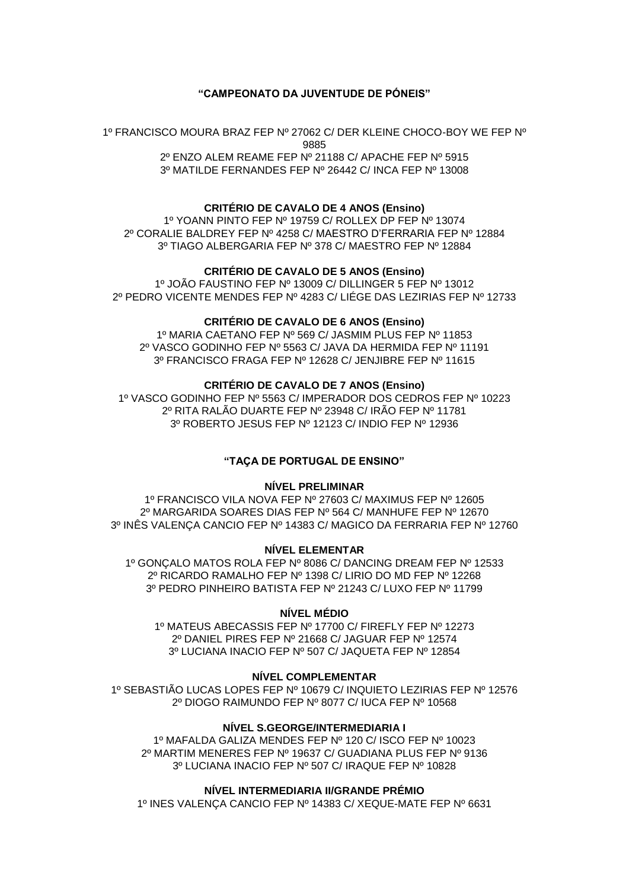### **"CAMPEONATO DA JUVENTUDE DE PÓNEIS"**

1º FRANCISCO MOURA BRAZ FEP Nº 27062 C/ DER KLEINE CHOCO-BOY WE FEP Nº 9885 2º ENZO ALEM REAME FEP Nº 21188 C/ APACHE FEP Nº 5915

3º MATILDE FERNANDES FEP Nº 26442 C/ INCA FEP Nº 13008

#### **CRITÉRIO DE CAVALO DE 4 ANOS (Ensino)**

1º YOANN PINTO FEP Nº 19759 C/ ROLLEX DP FEP Nº 13074 2º CORALIE BALDREY FEP Nº 4258 C/ MAESTRO D'FERRARIA FEP Nº 12884 3º TIAGO ALBERGARIA FEP Nº 378 C/ MAESTRO FEP Nº 12884

## **CRITÉRIO DE CAVALO DE 5 ANOS (Ensino)**

1º JOÃO FAUSTINO FEP Nº 13009 C/ DILLINGER 5 FEP Nº 13012 2º PEDRO VICENTE MENDES FEP Nº 4283 C/ LIÉGE DAS LEZIRIAS FEP Nº 12733

#### **CRITÉRIO DE CAVALO DE 6 ANOS (Ensino)**

1º MARIA CAETANO FEP Nº 569 C/ JASMIM PLUS FEP Nº 11853 2º VASCO GODINHO FEP Nº 5563 C/ JAVA DA HERMIDA FEP Nº 11191 3º FRANCISCO FRAGA FEP Nº 12628 C/ JENJIBRE FEP Nº 11615

#### **CRITÉRIO DE CAVALO DE 7 ANOS (Ensino)**

1º VASCO GODINHO FEP Nº 5563 C/ IMPERADOR DOS CEDROS FEP Nº 10223 2º RITA RALÃO DUARTE FEP Nº 23948 C/ IRÃO FEP Nº 11781 3º ROBERTO JESUS FEP Nº 12123 C/ INDIO FEP Nº 12936

#### **"TAÇA DE PORTUGAL DE ENSINO"**

#### **NÍVEL PRELIMINAR**

1º FRANCISCO VILA NOVA FEP Nº 27603 C/ MAXIMUS FEP Nº 12605 2º MARGARIDA SOARES DIAS FEP Nº 564 C/ MANHUFE FEP Nº 12670 3º INÊS VALENÇA CANCIO FEP Nº 14383 C/ MAGICO DA FERRARIA FEP Nº 12760

### **NÍVEL ELEMENTAR**

1º GONÇALO MATOS ROLA FEP Nº 8086 C/ DANCING DREAM FEP Nº 12533 2º RICARDO RAMALHO FEP Nº 1398 C/ LIRIO DO MD FEP Nº 12268 3º PEDRO PINHEIRO BATISTA FEP Nº 21243 C/ LUXO FEP Nº 11799

#### **NÍVEL MÉDIO**

1º MATEUS ABECASSIS FEP Nº 17700 C/ FIREFLY FEP Nº 12273 2º DANIEL PIRES FEP Nº 21668 C/ JAGUAR FEP Nº 12574 3º LUCIANA INACIO FEP Nº 507 C/ JAQUETA FEP Nº 12854

#### **NÍVEL COMPLEMENTAR**

1º SEBASTIÃO LUCAS LOPES FEP Nº 10679 C/ INQUIETO LEZIRIAS FEP Nº 12576 2º DIOGO RAIMUNDO FEP Nº 8077 C/ IUCA FEP Nº 10568

#### **NÍVEL S.GEORGE/INTERMEDIARIA I**

1º MAFALDA GALIZA MENDES FEP Nº 120 C/ ISCO FEP Nº 10023 2º MARTIM MENERES FEP Nº 19637 C/ GUADIANA PLUS FEP Nº 9136 3º LUCIANA INACIO FEP Nº 507 C/ IRAQUE FEP Nº 10828

## **NÍVEL INTERMEDIARIA II/GRANDE PRÉMIO**

1º INES VALENÇA CANCIO FEP Nº 14383 C/ XEQUE-MATE FEP Nº 6631